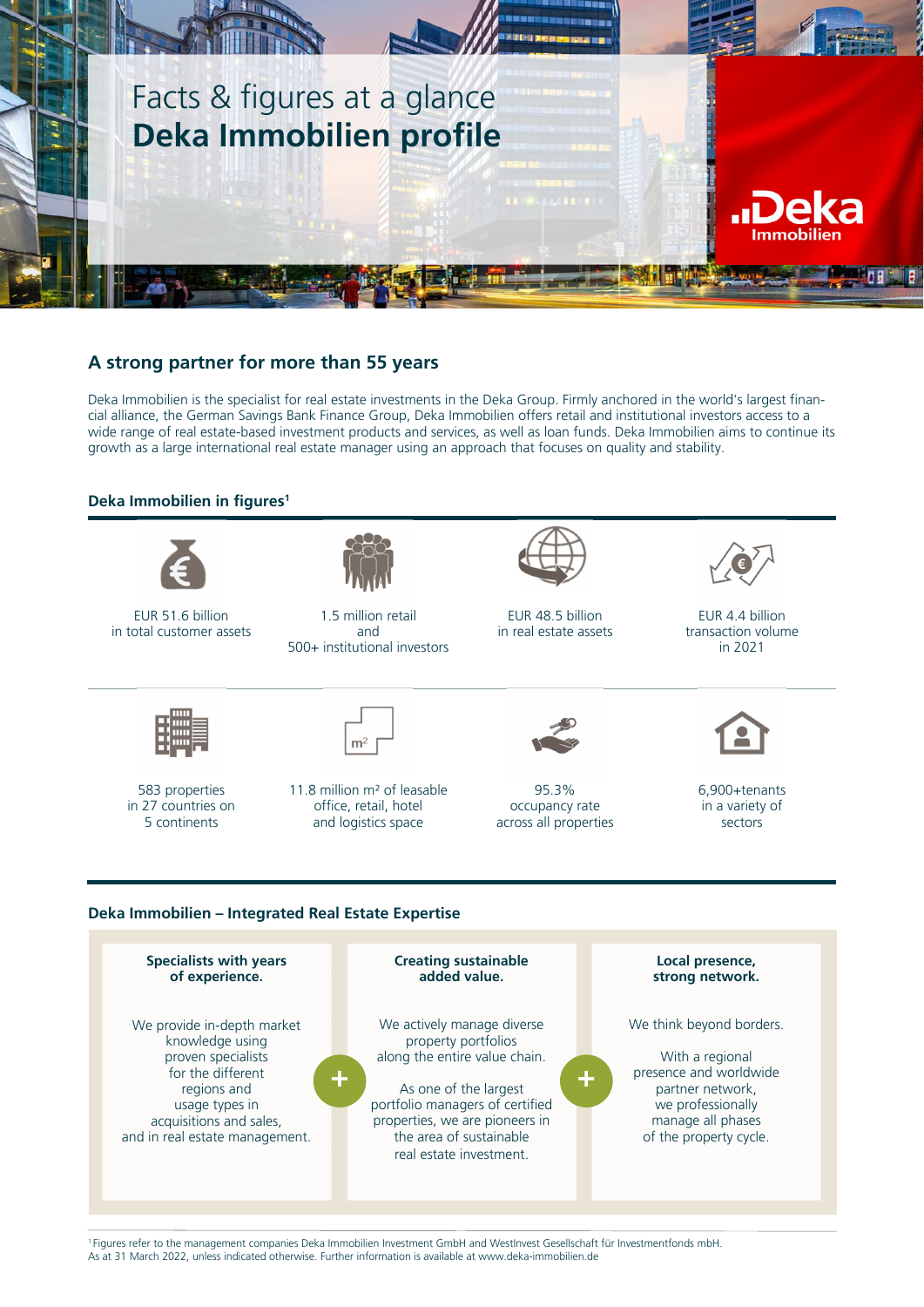

## **A strong partner for more than 55 years**

Deka Immobilien is the specialist for real estate investments in the Deka Group. Firmly anchored in the world's largest financial alliance, the German Savings Bank Finance Group, Deka Immobilien offers retail and institutional investors access to a wide range of real estate-based investment products and services, as well as loan funds. Deka Immobilien aims to continue its growth as a large international real estate manager using an approach that focuses on quality and stability.

## **Deka Immobilien in figures1**



EUR 51.6 billion in total customer assets



1.5 million retail and 500+ institutional investors



EUR 48.5 billion in real estate assets



EUR 4.4 billion transaction volume in 2021



583 properties in 27 countries on 5 continents



11.8 million m² of leasable office, retail, hotel and logistics space



95.3% occupancy rate across all properties



6,900+tenants in a variety of sectors

## **Deka Immobilien – Integrated Real Estate Expertise**



1 Figures refer to the management companies Deka Immobilien Investment GmbH and WestInvest Gesellschaft für Investmentfonds mbH. As at 31 March 2022, unless indicated otherwise. Further information is available at www.deka-immobilien.de